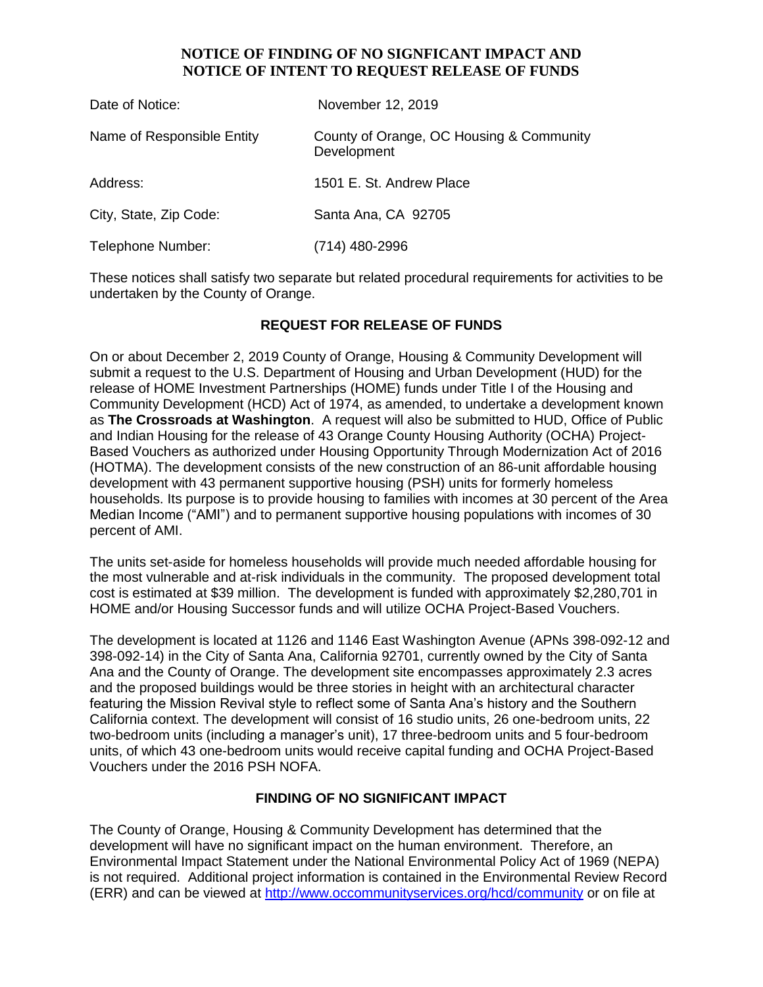# **NOTICE OF FINDING OF NO SIGNFICANT IMPACT AND NOTICE OF INTENT TO REQUEST RELEASE OF FUNDS**

| Date of Notice:            | November 12, 2019                                       |
|----------------------------|---------------------------------------------------------|
| Name of Responsible Entity | County of Orange, OC Housing & Community<br>Development |
| Address:                   | 1501 E. St. Andrew Place                                |
| City, State, Zip Code:     | Santa Ana, CA 92705                                     |
| Telephone Number:          | (714) 480-2996                                          |

These notices shall satisfy two separate but related procedural requirements for activities to be undertaken by the County of Orange.

# **REQUEST FOR RELEASE OF FUNDS**

On or about December 2, 2019 County of Orange, Housing & Community Development will submit a request to the U.S. Department of Housing and Urban Development (HUD) for the release of HOME Investment Partnerships (HOME) funds under Title I of the Housing and Community Development (HCD) Act of 1974, as amended, to undertake a development known as **The Crossroads at Washington**. A request will also be submitted to HUD, Office of Public and Indian Housing for the release of 43 Orange County Housing Authority (OCHA) Project-Based Vouchers as authorized under Housing Opportunity Through Modernization Act of 2016 (HOTMA). The development consists of the new construction of an 86-unit affordable housing development with 43 permanent supportive housing (PSH) units for formerly homeless households. Its purpose is to provide housing to families with incomes at 30 percent of the Area Median Income ("AMI") and to permanent supportive housing populations with incomes of 30 percent of AMI.

The units set-aside for homeless households will provide much needed affordable housing for the most vulnerable and at-risk individuals in the community. The proposed development total cost is estimated at \$39 million. The development is funded with approximately \$2,280,701 in HOME and/or Housing Successor funds and will utilize OCHA Project-Based Vouchers.

The development is located at 1126 and 1146 East Washington Avenue (APNs 398-092-12 and 398-092-14) in the City of Santa Ana, California 92701, currently owned by the City of Santa Ana and the County of Orange. The development site encompasses approximately 2.3 acres and the proposed buildings would be three stories in height with an architectural character featuring the Mission Revival style to reflect some of Santa Ana's history and the Southern California context. The development will consist of 16 studio units, 26 one-bedroom units, 22 two-bedroom units (including a manager's unit), 17 three-bedroom units and 5 four-bedroom units, of which 43 one-bedroom units would receive capital funding and OCHA Project-Based Vouchers under the 2016 PSH NOFA.

## **FINDING OF NO SIGNIFICANT IMPACT**

The County of Orange, Housing & Community Development has determined that the development will have no significant impact on the human environment. Therefore, an Environmental Impact Statement under the National Environmental Policy Act of 1969 (NEPA) is not required. Additional project information is contained in the Environmental Review Record (ERR) and can be viewed at<http://www.occommunityservices.org/hcd/community> or on file at